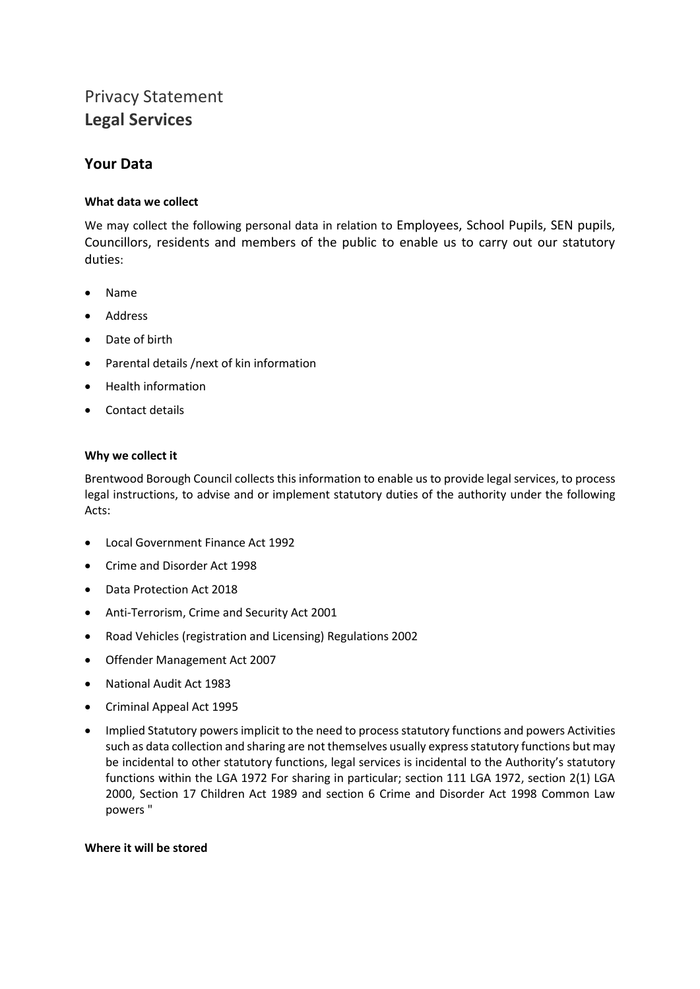# Privacy Statement **Legal Services**

# **Your Data**

# **What data we collect**

We may collect the following personal data in relation to Employees, School Pupils, SEN pupils, Councillors, residents and members of the public to enable us to carry out our statutory duties:

- Name
- Address
- Date of birth
- Parental details /next of kin information
- Health information
- Contact details

## **Why we collect it**

Brentwood Borough Council collects this information to enable us to provide legal services, to process legal instructions, to advise and or implement statutory duties of the authority under the following Acts:

- Local Government Finance Act 1992
- Crime and Disorder Act 1998
- Data Protection Act 2018
- Anti-Terrorism, Crime and Security Act 2001
- Road Vehicles (registration and Licensing) Regulations 2002
- Offender Management Act 2007
- National Audit Act 1983
- Criminal Appeal Act 1995
- Implied Statutory powers implicit to the need to process statutory functions and powers Activities such as data collection and sharing are not themselves usually express statutory functions but may be incidental to other statutory functions, legal services is incidental to the Authority's statutory functions within the LGA 1972 For sharing in particular; section 111 LGA 1972, section 2(1) LGA 2000, Section 17 Children Act 1989 and section 6 Crime and Disorder Act 1998 Common Law powers "

#### **Where it will be stored**